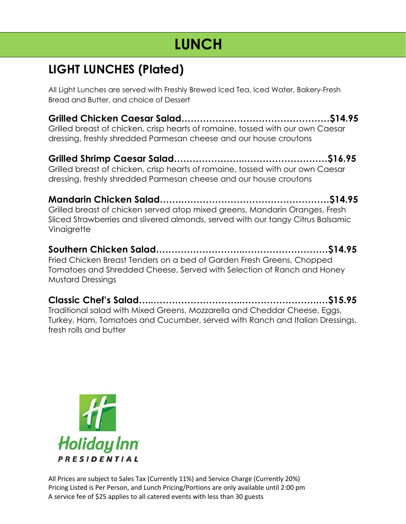## **LIGHT LUNCHES (Plated)**

All Light Lunches are served with Freshly Brewed Iced Tea, Iced Water, Bakery-Fresh Bread and Butter, and choice of Dessert

**Grilled Chicken Caesar Salad…………………………………………\$14.95** Grilled breast of chicken, crisp hearts of romaine, tossed with our own Caesar dressing, freshly shredded Parmesan cheese and our house croutons

**Grilled Shrimp Caesar Salad…………………..………………………\$16.95** Grilled breast of chicken, crisp hearts of romaine, tossed with our own Caesar dressing, freshly shredded Parmesan cheese and our house croutons

**Mandarin Chicken Salad…….…………………………………………\$14.95** Grilled breast of chicken served atop mixed greens, Mandarin Oranges, Fresh Sliced Strawberries and slivered almonds, served with our tangy Citrus Balsamic **Vinaigrette** 

**Southern Chicken Salad………………………..………………………\$14.95** Fried Chicken Breast Tenders on a bed of Garden Fresh Greens, Chopped Tomatoes and Shredded Cheese, Served with Selection of Ranch and Honey Mustard Dressings

**Classic Chef's Salad…..………………………..…………………….…\$15.95** Traditional salad with Mixed Greens, Mozzarella and Cheddar Cheese, Eggs, Turkey, Ham, Tomatoes and Cucumber, served with Ranch and Italian Dressings, fresh rolls and butter

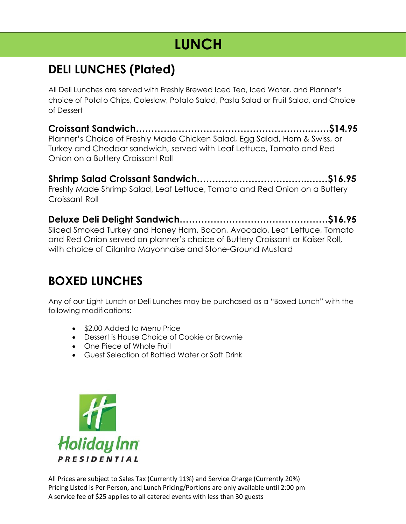## **DELI LUNCHES (Plated)**

All Deli Lunches are served with Freshly Brewed Iced Tea, Iced Water, and Planner's choice of Potato Chips, Coleslaw, Potato Salad, Pasta Salad or Fruit Salad, and Choice of Dessert

**Croissant Sandwich………….……………………………………..……\$14.95** Planner's Choice of Freshly Made Chicken Salad, Egg Salad, Ham & Swiss, or Turkey and Cheddar sandwich, served with Leaf Lettuce, Tomato and Red Onion on a Buttery Croissant Roll

**Shrimp Salad Croissant Sandwich…………..…………………..……\$16.95** Freshly Made Shrimp Salad, Leaf Lettuce, Tomato and Red Onion on a Buttery Croissant Roll

**Deluxe Deli Delight Sandwich…………………………………………\$16.95** Sliced Smoked Turkey and Honey Ham, Bacon, Avocado, Leaf Lettuce, Tomato and Red Onion served on planner's choice of Buttery Croissant or Kaiser Roll, with choice of Cilantro Mayonnaise and Stone-Ground Mustard

## **BOXED LUNCHES**

Any of our Light Lunch or Deli Lunches may be purchased as a "Boxed Lunch" with the following modifications:

- \$2.00 Added to Menu Price
- Dessert is House Choice of Cookie or Brownie
- One Piece of Whole Fruit
- Guest Selection of Bottled Water or Soft Drink

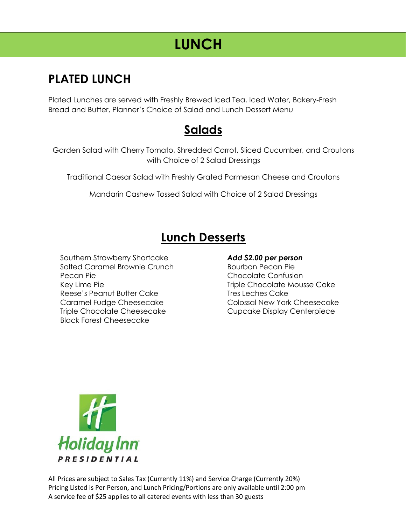## **PLATED LUNCH**

Plated Lunches are served with Freshly Brewed Iced Tea, Iced Water, Bakery-Fresh Bread and Butter, Planner's Choice of Salad and Lunch Dessert Menu

## **Salads**

Garden Salad with Cherry Tomato, Shredded Carrot, Sliced Cucumber, and Croutons with Choice of 2 Salad Dressings

Traditional Caesar Salad with Freshly Grated Parmesan Cheese and Croutons

Mandarin Cashew Tossed Salad with Choice of 2 Salad Dressings

## **Lunch Desserts**

Southern Strawberry Shortcake Salted Caramel Brownie Crunch Pecan Pie Key Lime Pie Reese's Peanut Butter Cake Caramel Fudge Cheesecake Triple Chocolate Cheesecake Black Forest Cheesecake

#### *Add \$2.00 per person*

Bourbon Pecan Pie Chocolate Confusion Triple Chocolate Mousse Cake Tres Leches Cake Colossal New York Cheesecake Cupcake Display Centerpiece

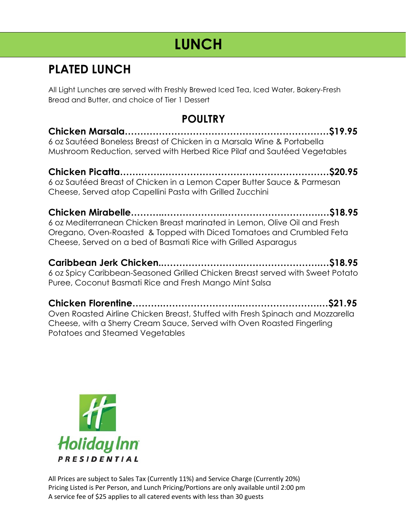## **PLATED LUNCH**

All Light Lunches are served with Freshly Brewed Iced Tea, Iced Water, Bakery-Fresh Bread and Butter, and choice of Tier 1 Dessert

### **POULTRY**

**Chicken Marsala…………………………………………………………\$19.95** 6 oz Sautéed Boneless Breast of Chicken in a Marsala Wine & Portabella Mushroom Reduction, served with Herbed Rice Pilaf and Sautéed Vegetables

**Chicken Picatta…….…….………………………………………………\$20.95** 6 oz Sautéed Breast of Chicken in a Lemon Caper Butter Sauce & Parmesan Cheese, Served atop Capellini Pasta with Grilled Zucchini

**Chicken Mirabelle………..………………..………………………….…\$18.95** 6 oz Mediterranean Chicken Breast marinated in Lemon, Olive Oil and Fresh Oregano, Oven-Roasted & Topped with Diced Tomatoes and Crumbled Feta Cheese, Served on a bed of Basmati Rice with Grilled Asparagus

**Caribbean Jerk Chicken..……………………..…………………….…\$18.95** 6 oz Spicy Caribbean-Seasoned Grilled Chicken Breast served with Sweet Potato Puree, Coconut Basmati Rice and Fresh Mango Mint Salsa

**Chicken Florentine……….……………………..…………………….…\$21.95** Oven Roasted Airline Chicken Breast, Stuffed with Fresh Spinach and Mozzarella Cheese, with a Sherry Cream Sauce, Served with Oven Roasted Fingerling Potatoes and Steamed Vegetables

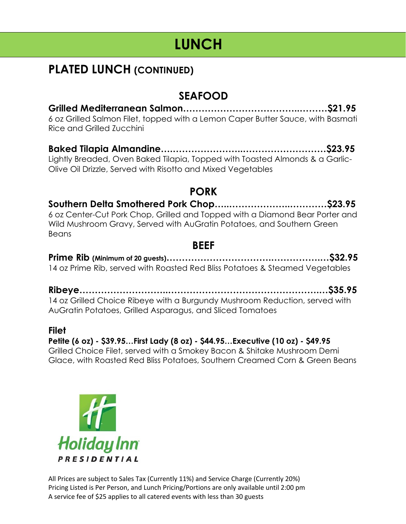## **PLATED LUNCH (CONTINUED)**

## **SEAFOOD**

**Grilled Mediterranean Salmon………………………………..………\$21.95** 6 oz Grilled Salmon Filet, topped with a Lemon Caper Butter Sauce, with Basmati Rice and Grilled Zucchini

**Baked Tilapia Almandine….…………………..………………………\$23.95**

Lightly Breaded, Oven Baked Tilapia, Topped with Toasted Almonds & a Garlic-Olive Oil Drizzle, Served with Risotto and Mixed Vegetables

### **PORK**

#### **Southern Delta Smothered Pork Chop…..………………..…………\$23.95** 6 oz Center-Cut Pork Chop, Grilled and Topped with a Diamond Bear Porter and Wild Mushroom Gravy, Served with AuGratin Potatoes, and Southern Green Beans

### **BEEF**

**Prime Rib (Minimum of 20 guests)…………………………….…………….…\$32.95** 14 oz Prime Rib, served with Roasted Red Bliss Potatoes & Steamed Vegetables

**Ribeye………………………..………………………………………….…\$35.95** 14 oz Grilled Choice Ribeye with a Burgundy Mushroom Reduction, served with AuGratin Potatoes, Grilled Asparagus, and Sliced Tomatoes

#### **Filet**

**Petite (6 oz) - \$39.95…First Lady (8 oz) - \$44.95…Executive (10 oz) - \$49.95** Grilled Choice Filet, served with a Smokey Bacon & Shitake Mushroom Demi Glace, with Roasted Red Bliss Potatoes, Southern Creamed Corn & Green Beans

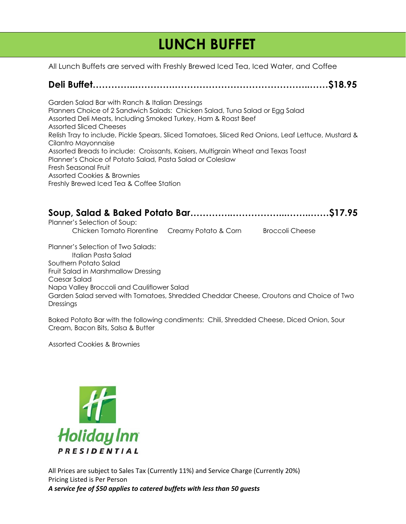# **LUNCH BUFFET**

**aVA** All Lunch Buffets are served with Freshly Brewed Iced Tea, Iced Water, and Coffee

#### **Deli Buffet…………..………….……………………………………..……\$18.95**

Garden Salad Bar with Ranch & Italian Dressings Planners Choice of 2 Sandwich Salads: Chicken Salad, Tuna Salad or Egg Salad Assorted Deli Meats, Including Smoked Turkey, Ham & Roast Beef Assorted Sliced Cheeses Relish Tray to include, Pickle Spears, Sliced Tomatoes, Sliced Red Onions, Leaf Lettuce, Mustard & Cilantro Mayonnaise Assorted Breads to include: Croissants, Kaisers, Multigrain Wheat and Texas Toast Planner's Choice of Potato Salad, Pasta Salad or Coleslaw Fresh Seasonal Fruit Assorted Cookies & Brownies Freshly Brewed Iced Tea & Coffee Station

| Planner's Selection of Soup: |  |
|------------------------------|--|

Chicken Tomato Florentine Creamy Potato & Corn Broccoli Cheese

Planner's Selection of Two Salads: Italian Pasta Salad Southern Potato Salad Fruit Salad in Marshmallow Dressing Caesar Salad Napa Valley Broccoli and Cauliflower Salad Garden Salad served with Tomatoes, Shredded Cheddar Cheese, Croutons and Choice of Two Dressings

Baked Potato Bar with the following condiments: Chili, Shredded Cheese, Diced Onion, Sour Cream, Bacon Bits, Salsa & Butter

Assorted Cookies & Brownies

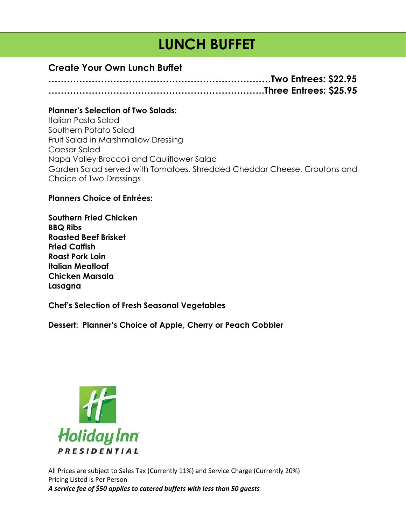# **LUNCH BUFFET**

#### **Create Your Own Lunch Buffet**

**………………………………………………………………Two Entrees: \$22.95 …………………………………………………………….Three Entrees: \$25.95**

#### **Planner's Selection of Two Salads:**

Italian Pasta Salad Southern Potato Salad Fruit Salad in Marshmallow Dressing Caesar Salad Napa Valley Broccoli and Cauliflower Salad Garden Salad served with Tomatoes, Shredded Cheddar Cheese, Croutons and Choice of Two Dressings

#### **Planners Choice of Entrées:**

**Southern Fried Chicken BBQ Ribs Roasted Beef Brisket Fried Catfish Roast Pork Loin Italian Meatloaf Chicken Marsala Lasagna**

**Chef's Selection of Fresh Seasonal Vegetables**

**Dessert: Planner's Choice of Apple, Cherry or Peach Cobbler**

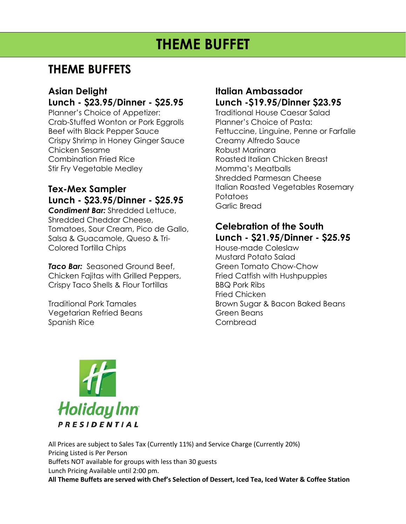# **THEME BUFFET**

## **THEME BUFFETS**

#### **Asian Delight Lunch - \$23.95/Dinner - \$25.95**

Planner's Choice of Appetizer: Crab-Stuffed Wonton or Pork Eggrolls Beef with Black Pepper Sauce Crispy Shrimp in Honey Ginger Sauce Chicken Sesame Combination Fried Rice Stir Fry Vegetable Medley

#### **Tex-Mex Sampler Lunch - \$23.95/Dinner - \$25.95** *Condiment Bar:* Shredded Lettuce, Shredded Cheddar Cheese, Tomatoes, Sour Cream, Pico de Gallo, Salsa & Guacamole, Queso & Tri-Colored Tortilla Chips

*Taco Bar:* Seasoned Ground Beef, Chicken Fajitas with Grilled Peppers, Crispy Taco Shells & Flour Tortillas

Traditional Pork Tamales Vegetarian Refried Beans Spanish Rice

### **Italian Ambassador Lunch -\$19.95/Dinner \$23.95**

Traditional House Caesar Salad Planner's Choice of Pasta: Fettuccine, Linguine, Penne or Farfalle Creamy Alfredo Sauce Robust Marinara Roasted Italian Chicken Breast Momma's Meatballs Shredded Parmesan Cheese Italian Roasted Vegetables Rosemary **Potatoes** Garlic Bread

### **Celebration of the South Lunch - \$21.95/Dinner - \$25.95**

House-made Coleslaw Mustard Potato Salad Green Tomato Chow-Chow Fried Catfish with Hushpuppies BBQ Pork Ribs Fried Chicken Brown Sugar & Bacon Baked Beans Green Beans Cornbread



All Prices are subject to Sales Tax (Currently 11%) and Service Charge (Currently 20%) Pricing Listed is Per Person Buffets NOT available for groups with less than 30 guests Lunch Pricing Available until 2:00 pm. **All Theme Buffets are served with Chef's Selection of Dessert, Iced Tea, Iced Water & Coffee Station**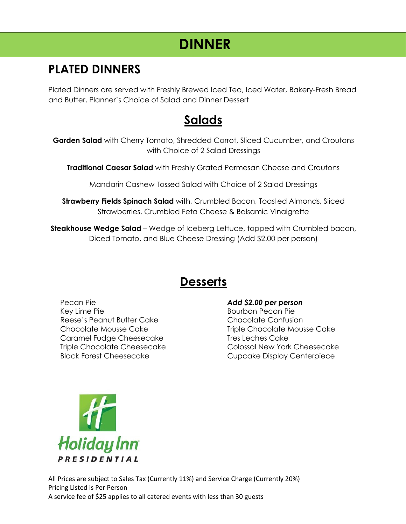## **PLATED DINNERS**

Plated Dinners are served with Freshly Brewed Iced Tea, Iced Water, Bakery-Fresh Bread and Butter, Planner's Choice of Salad and Dinner Dessert

## **Salads**

**Garden Salad** with Cherry Tomato, Shredded Carrot, Sliced Cucumber, and Croutons with Choice of 2 Salad Dressings

**Traditional Caesar Salad** with Freshly Grated Parmesan Cheese and Croutons

Mandarin Cashew Tossed Salad with Choice of 2 Salad Dressings

**Strawberry Fields Spinach Salad** with, Crumbled Bacon, Toasted Almonds, Sliced Strawberries, Crumbled Feta Cheese & Balsamic Vinaigrette

**Steakhouse Wedge Salad** – Wedge of Iceberg Lettuce, topped with Crumbled bacon, Diced Tomato, and Blue Cheese Dressing (Add \$2.00 per person)

## **Desserts**

Pecan Pie Key Lime Pie Reese's Peanut Butter Cake Chocolate Mousse Cake Caramel Fudge Cheesecake Triple Chocolate Cheesecake Black Forest Cheesecake

#### *Add \$2.00 per person*

Bourbon Pecan Pie Chocolate Confusion Triple Chocolate Mousse Cake Tres Leches Cake Colossal New York Cheesecake Cupcake Display Centerpiece

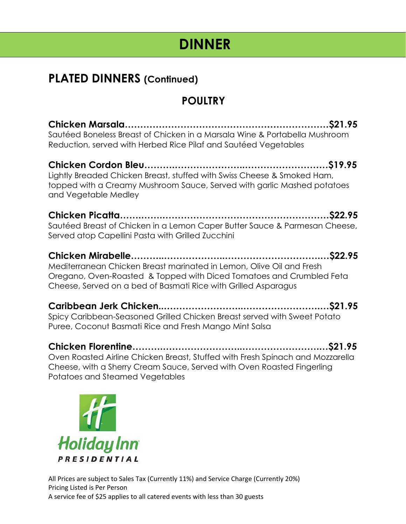## **PLATED DINNERS (Continued)**

## **POULTRY**

**Chicken Marsala…………………………………………………………\$21.95** Sautéed Boneless Breast of Chicken in a Marsala Wine & Portabella Mushroom Reduction, served with Herbed Rice Pilaf and Sautéed Vegetables

**Chicken Cordon Bleu……….…………………..………………………\$19.95** Lightly Breaded Chicken Breast, stuffed with Swiss Cheese & Smoked Ham, topped with a Creamy Mushroom Sauce, Served with garlic Mashed potatoes and Vegetable Medley

**Chicken Picatta…….…….………………………………………………\$22.95** Sautéed Breast of Chicken in a Lemon Caper Butter Sauce & Parmesan Cheese, Served atop Capellini Pasta with Grilled Zucchini

**Chicken Mirabelle………..………………..………………………….…\$22.95** Mediterranean Chicken Breast marinated in Lemon, Olive Oil and Fresh Oregano, Oven-Roasted & Topped with Diced Tomatoes and Crumbled Feta Cheese, Served on a bed of Basmati Rice with Grilled Asparagus

**Caribbean Jerk Chicken..……………………..…………………….…\$21.95** Spicy Caribbean-Seasoned Grilled Chicken Breast served with Sweet Potato Puree, Coconut Basmati Rice and Fresh Mango Mint Salsa

**Chicken Florentine……….……………………..…………………….…\$21.95** Oven Roasted Airline Chicken Breast, Stuffed with Fresh Spinach and Mozzarella Cheese, with a Sherry Cream Sauce, Served with Oven Roasted Fingerling Potatoes and Steamed Vegetables

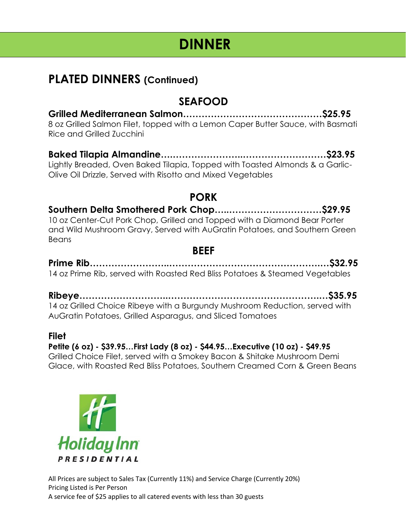## **PLATED DINNERS (Continued)**

### **SEAFOOD**

**Grilled Mediterranean Salmon………………………………………\$25.95** 8 oz Grilled Salmon Filet, topped with a Lemon Caper Butter Sauce, with Basmati Rice and Grilled Zucchini

**Baked Tilapia Almandine….…………………..………………………\$23.95** Lightly Breaded, Oven Baked Tilapia, Topped with Toasted Almonds & a Garlic-Olive Oil Drizzle, Served with Risotto and Mixed Vegetables

### **PORK**

#### **Southern Delta Smothered Pork Chop…..…………………………\$29.95** 10 oz Center-Cut Pork Chop, Grilled and Topped with a Diamond Bear Porter and Wild Mushroom Gravy, Served with AuGratin Potatoes, and Southern Green Beans

### **BEEF**

**Prime Rib……………………..………………………………………….…\$32.95** 14 oz Prime Rib, served with Roasted Red Bliss Potatoes & Steamed Vegetables

**Ribeye………………………..………………………………………….…\$35.95** 14 oz Grilled Choice Ribeye with a Burgundy Mushroom Reduction, served with AuGratin Potatoes, Grilled Asparagus, and Sliced Tomatoes

#### **Filet**

**Petite (6 oz) - \$39.95…First Lady (8 oz) - \$44.95…Executive (10 oz) - \$49.95** Grilled Choice Filet, served with a Smokey Bacon & Shitake Mushroom Demi Glace, with Roasted Red Bliss Potatoes, Southern Creamed Corn & Green Beans

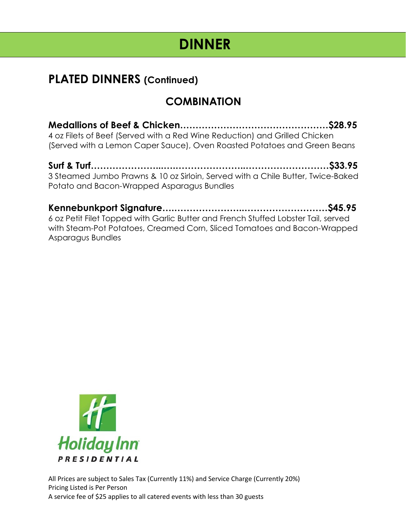## **PLATED DINNERS (Continued)**

## **COMBINATION**

**Medallions of Beef & Chicken…………………………………………\$28.95** 4 oz Filets of Beef (Served with a Red Wine Reduction) and Grilled Chicken (Served with a Lemon Caper Sauce), Oven Roasted Potatoes and Green Beans

**Surf & Turf…………………...….…………………..………………………\$33.95** 3 Steamed Jumbo Prawns & 10 oz Sirloin, Served with a Chile Butter, Twice-Baked Potato and Bacon-Wrapped Asparagus Bundles

**Kennebunkport Signature….…………………..………………………\$45.95** 6 oz Petit Filet Topped with Garlic Butter and French Stuffed Lobster Tail, served with Steam-Pot Potatoes, Creamed Corn, Sliced Tomatoes and Bacon-Wrapped Asparagus Bundles

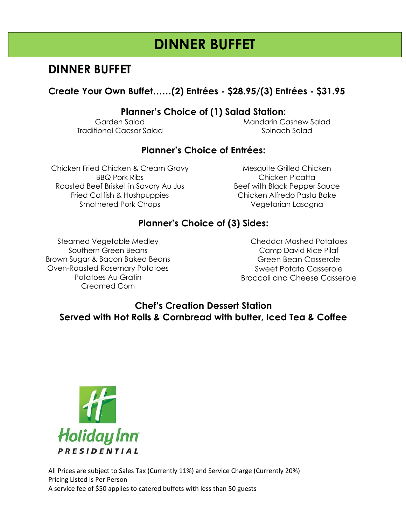# **DINNER BUFFET**

## **DINNER BUFFET**

### **Create Your Own Buffet……(2) Entrées - \$28.95/(3) Entrées - \$31.95**

### **Planner's Choice of (1) Salad Station:**

Garden Salad Traditional Caesar Salad Mandarin Cashew Salad Spinach Salad

### **Planner's Choice of Entrées:**

Chicken Fried Chicken & Cream Gravy BBQ Pork Ribs Roasted Beef Brisket in Savory Au Jus Fried Catfish & Hushpuppies Smothered Pork Chops

Mesquite Grilled Chicken Chicken Picatta Beef with Black Pepper Sauce Chicken Alfredo Pasta Bake Vegetarian Lasagna

### **Planner's Choice of (3) Sides:**

Steamed Vegetable Medley Southern Green Beans Brown Sugar & Bacon Baked Beans Oven-Roasted Rosemary Potatoes Potatoes Au Gratin Creamed Corn

Cheddar Mashed Potatoes Camp David Rice Pilaf Green Bean Casserole Sweet Potato Casserole Broccoli and Cheese Casserole

### **Chef's Creation Dessert Station Served with Hot Rolls & Cornbread with butter, Iced Tea & Coffee**

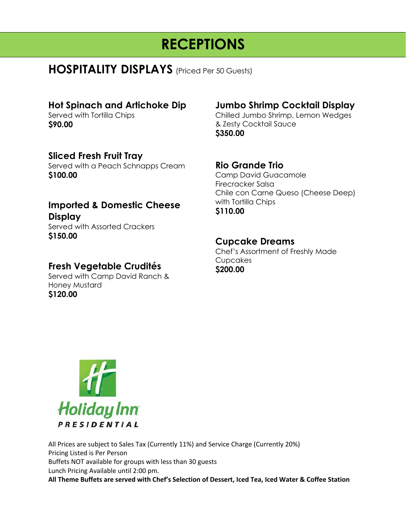## **HOSPITALITY DISPLAYS** (Priced Per 50 Guests)

#### **Hot Spinach and Artichoke Dip**

Served with Tortilla Chips **\$90.00**

#### **Sliced Fresh Fruit Tray**

Served with a Peach Schnapps Cream **\$100.00**

#### **Imported & Domestic Cheese Display** Served with Assorted Crackers **\$150.00**

### **Fresh Vegetable Crudités**

Served with Camp David Ranch & Honey Mustard **\$120.00**

### **Jumbo Shrimp Cocktail Display**

Chilled Jumbo Shrimp, Lemon Wedges & Zesty Cocktail Sauce **\$350.00**

#### **Rio Grande Trio**

Camp David Guacamole Firecracker Salsa Chile con Carne Queso (Cheese Deep) with Tortilla Chips **\$110.00**

#### **Cupcake Dreams**

Chef's Assortment of Freshly Made Cupcakes **\$200.00**



All Prices are subject to Sales Tax (Currently 11%) and Service Charge (Currently 20%) Pricing Listed is Per Person Buffets NOT available for groups with less than 30 guests Lunch Pricing Available until 2:00 pm. **All Theme Buffets are served with Chef's Selection of Dessert, Iced Tea, Iced Water & Coffee Station**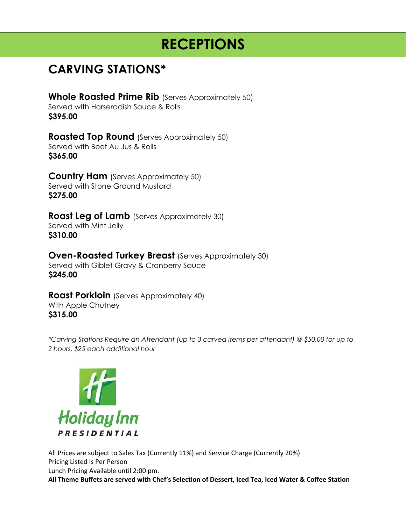## **CARVING STATIONS\***

**Whole Roasted Prime Rib** (Serves Approximately 50) Served with Horseradish Sauce & Rolls **\$395.00**

**Roasted Top Round** (Serves Approximately 50) Served with Beef Au Jus & Rolls **\$365.00**

**Country Ham** (Serves Approximately 50) Served with Stone Ground Mustard **\$275.00**

**Roast Leg of Lamb** (Serves Approximately 30) Served with Mint Jelly **\$310.00**

**Oven-Roasted Turkey Breast** (Serves Approximately 30) Served with Giblet Gravy & Cranberry Sauce **\$245.00**

**Roast Porkloin** (Serves Approximately 40) With Apple Chutney **\$315.00**

*\*Carving Stations Require an Attendant (up to 3 carved items per attendant) @ \$50.00 for up to 2 hours, \$25 each additional hour*



All Prices are subject to Sales Tax (Currently 11%) and Service Charge (Currently 20%) Pricing Listed is Per Person Lunch Pricing Available until 2:00 pm. **All Theme Buffets are served with Chef's Selection of Dessert, Iced Tea, Iced Water & Coffee Station**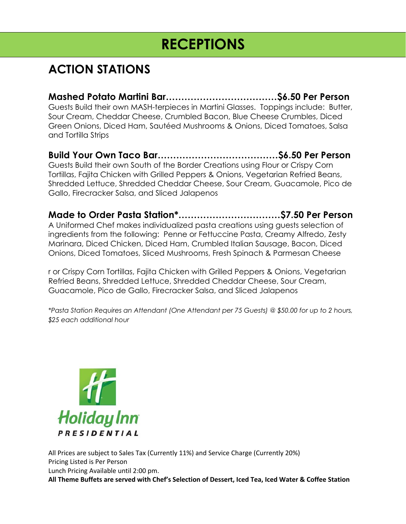## **ACTION STATIONS**

**Mashed Potato Martini Bar………………………………\$6.50 Per Person** Guests Build their own MASH-terpieces in Martini Glasses. Toppings include: Butter, Sour Cream, Cheddar Cheese, Crumbled Bacon, Blue Cheese Crumbles, Diced Green Onions, Diced Ham, Sautéed Mushrooms & Onions, Diced Tomatoes, Salsa and Tortilla Strips

**Build Your Own Taco Bar…………………………………\$6.50 Per Person** Guests Build their own South of the Border Creations using Flour or Crispy Corn Tortillas, Fajita Chicken with Grilled Peppers & Onions, Vegetarian Refried Beans, Shredded Lettuce, Shredded Cheddar Cheese, Sour Cream, Guacamole, Pico de Gallo, Firecracker Salsa, and Sliced Jalapenos

**Made to Order Pasta Station\*……………………………\$7.50 Per Person** A Uniformed Chef makes individualized pasta creations using guests selection of ingredients from the following: Penne or Fettuccine Pasta, Creamy Alfredo, Zesty Marinara, Diced Chicken, Diced Ham, Crumbled Italian Sausage, Bacon, Diced Onions, Diced Tomatoes, Sliced Mushrooms, Fresh Spinach & Parmesan Cheese

r or Crispy Corn Tortillas, Fajita Chicken with Grilled Peppers & Onions, Vegetarian Refried Beans, Shredded Lettuce, Shredded Cheddar Cheese, Sour Cream, Guacamole, Pico de Gallo, Firecracker Salsa, and Sliced Jalapenos

*\*Pasta Station Requires an Attendant (One Attendant per 75 Guests) @ \$50.00 for up to 2 hours, \$25 each additional hour*



All Prices are subject to Sales Tax (Currently 11%) and Service Charge (Currently 20%) Pricing Listed is Per Person Lunch Pricing Available until 2:00 pm. **All Theme Buffets are served with Chef's Selection of Dessert, Iced Tea, Iced Water & Coffee Station**